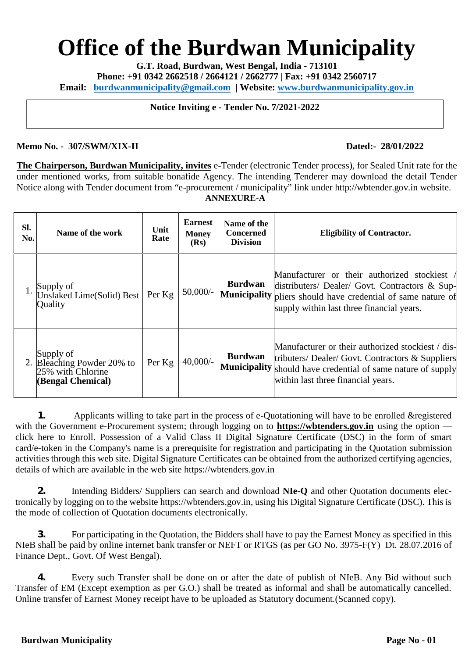# **Office of the Burdwan Municipality**

**G.T. Road, Burdwan, West Bengal, India - 713101**

**Phone: +91 0342 2662518 / 2664121 / 2662777 | Fax: +91 0342 2560717**

**Email: burdwanmunicipality@gmail.com | Website: www.burdwanmunicipality.gov.in**

**Notice Inviting e - Tender No. 7/2021-2022**

#### **Memo No. - 307/SWM/XIX-II Dated:- 28/01/2022**

**The Chairperson, Burdwan Municipality, invites** e-Tender (electronic Tender process), for Sealed Unit rate for the under mentioned works, from suitable bonafide Agency. The intending Tenderer may download the detail Tender Notice along with Tender document from "e-procurement / municipality" link under http://wbtender.gov.in website. **ANNEXURE-A**

| Sl.<br>No. | Name of the work                                                                  | Unit<br>Rate | <b>Earnest</b><br><b>Money</b><br>(Rs) | Name of the<br><b>Concerned</b><br><b>Division</b> | <b>Eligibility of Contractor.</b>                                                                                                                                                                                |  |
|------------|-----------------------------------------------------------------------------------|--------------|----------------------------------------|----------------------------------------------------|------------------------------------------------------------------------------------------------------------------------------------------------------------------------------------------------------------------|--|
|            | Supply of<br>Unslaked Lime(Solid) Best<br>Quality                                 | Per Kg       | $50,000/$ -                            | <b>Burdwan</b>                                     | Manufacturer or their authorized stockiest<br>distributers/ Dealer/ Govt. Contractors & Sup-<br><b>Municipality</b> pliers should have credential of same nature of<br>supply within last three financial years. |  |
|            | Supply of<br>2. Bleaching Powder 20% to<br>25% with Chlorine<br>(Bengal Chemical) | Per Kg       | $40,000/-$                             | <b>Burdwan</b>                                     | Manufacturer or their authorized stockiest / dis-<br>tributers/ Dealer/ Govt. Contractors & Suppliers<br>Municipality should have credential of same nature of supply<br>within last three financial years.      |  |

**1.** Applicants willing to take part in the process of e-Quotationing will have to be enrolled & registered with the Government e-Procurement system; through logging on to **https://wbtenders.gov.in** using the option click here to Enroll. Possession of a Valid Class II Digital Signature Certificate (DSC) in the form of smart card/e-token in the Company's name is a prerequisite for registration and participating in the Quotation submission activities through this web site. Digital Signature Certificates can be obtained from the authorized certifying agencies, details of which are available in the web site https://wbtenders.gov.in

**2.** Intending Bidders/ Suppliers can search and download **NIe-Q** and other Quotation documents electronically by logging on to the website https://wbtenders.gov.in, using his Digital Signature Certificate (DSC). This is the mode of collection of Quotation documents electronically.

**3.** For participating in the Quotation, the Bidders shall have to pay the Earnest Money as specified in this NIeB shall be paid by online internet bank transfer or NEFT or RTGS (as per GO No. 3975-F(Y) Dt. 28.07.2016 of Finance Dept., Govt. Of West Bengal).

**4.** Every such Transfer shall be done on or after the date of publish of NIeB. Any Bid without such Transfer of EM (Except exemption as per G.O.) shall be treated as informal and shall be automatically cancelled. Online transfer of Earnest Money receipt have to be uploaded as Statutory document.(Scanned copy).

#### **Burdwan Municipality Page No - 01**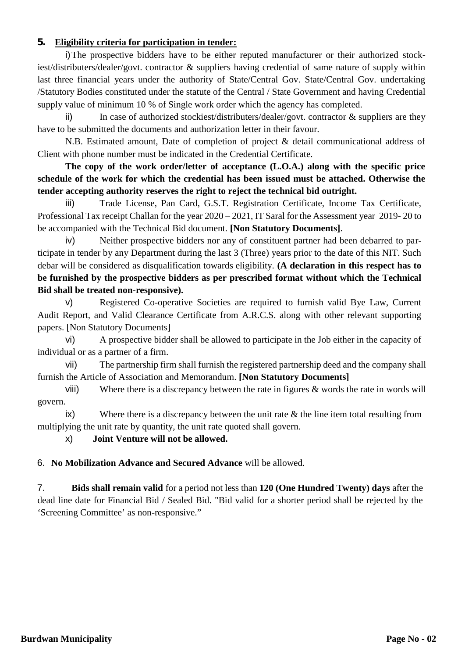# **5. Eligibility criteria for participation in tender:**

i)The prospective bidders have to be either reputed manufacturer or their authorized stockiest/distributers/dealer/govt. contractor & suppliers having credential of same nature of supply within last three financial years under the authority of State/Central Gov. State/Central Gov. undertaking /Statutory Bodies constituted under the statute of the Central / State Government and having Credential supply value of minimum 10 % of Single work order which the agency has completed.

ii) In case of authorized stockiest/distributers/dealer/govt. contractor & suppliers are they have to be submitted the documents and authorization letter in their favour.

N.B. Estimated amount, Date of completion of project & detail communicational address of Client with phone number must be indicated in the Credential Certificate.

# **The copy of the work order/letter of acceptance (L.O.A.) along with the specific price schedule of the work for which the credential has been issued must be attached. Otherwise the tender accepting authority reserves the right to reject the technical bid outright.**

iii) Trade License, Pan Card, G.S.T. Registration Certificate, Income Tax Certificate, Professional Tax receipt Challan for the year 2020 – 2021, IT Saral for the Assessment year 2019- 20 to be accompanied with the Technical Bid document. **[Non Statutory Documents]**.

iv) Neither prospective bidders nor any of constituent partner had been debarred to participate in tender by any Department during the last 3 (Three) years prior to the date of this NIT. Such debar will be considered as disqualification towards eligibility. **(A declaration in this respect has to be furnished by the prospective bidders as per prescribed format without which the Technical Bid shall be treated non-responsive).**

v) Registered Co-operative Societies are required to furnish valid Bye Law, Current Audit Report, and Valid Clearance Certificate from A.R.C.S. along with other relevant supporting papers. [Non Statutory Documents]

vi) A prospective bidder shall be allowed to participate in the Job either in the capacity of individual or as a partner of a firm.

vii) The partnership firm shall furnish the registered partnership deed and the company shall furnish the Article of Association and Memorandum. **[Non Statutory Documents]**

viii) Where there is a discrepancy between the rate in figures & words the rate in words will govern.

 $ix)$  Where there is a discrepancy between the unit rate  $\&$  the line item total resulting from multiplying the unit rate by quantity, the unit rate quoted shall govern.

x) **Joint Venture will not be allowed.**

6. **No Mobilization Advance and Secured Advance** will be allowed.

7. **Bids shall remain valid** for a period not less than **120 (One Hundred Twenty) days** after the dead line date for Financial Bid / Sealed Bid. "Bid valid for a shorter period shall be rejected by the 'Screening Committee' as non-responsive."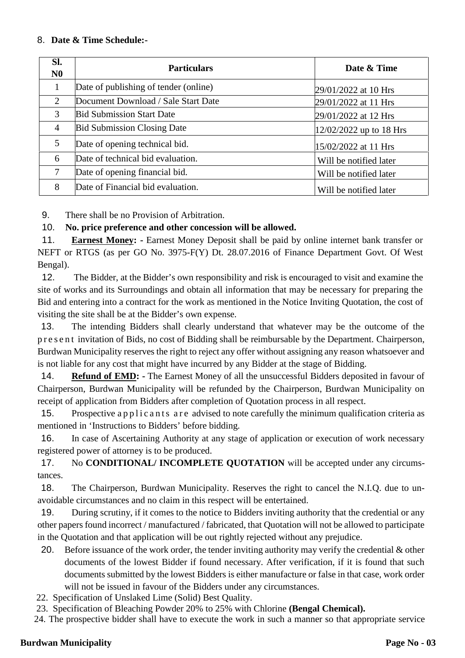#### 8. **Date & Time Schedule:-**

| Sl.<br>N <sub>0</sub> | <b>Particulars</b>                    | Date & Time             |
|-----------------------|---------------------------------------|-------------------------|
| 1                     | Date of publishing of tender (online) | 29/01/2022 at 10 Hrs    |
| 2                     | Document Download / Sale Start Date   | 29/01/2022 at 11 Hrs    |
| 3                     | <b>Bid Submission Start Date</b>      | 29/01/2022 at 12 Hrs    |
| $\overline{4}$        | <b>Bid Submission Closing Date</b>    | 12/02/2022 up to 18 Hrs |
| 5                     | Date of opening technical bid.        | 15/02/2022 at 11 Hrs    |
| 6                     | Date of technical bid evaluation.     | Will be notified later  |
| 7                     | Date of opening financial bid.        | Will be notified later  |
| 8                     | Date of Financial bid evaluation.     | Will be notified later  |

9. There shall be no Provision of Arbitration.

10. **No. price preference and other concession will be allowed.**

11. **Earnest Money: -** Earnest Money Deposit shall be paid by online internet bank transfer or NEFT or RTGS (as per GO No. 3975-F(Y) Dt. 28.07.2016 of Finance Department Govt. Of West Bengal).

12. The Bidder, at the Bidder's own responsibility and risk is encouraged to visit and examine the site of works and its Surroundings and obtain all information that may be necessary for preparing the Bid and entering into a contract for the work as mentioned in the Notice Inviting Quotation, the cost of visiting the site shall be at the Bidder's own expense.

13. The intending Bidders shall clearly understand that whatever may be the outcome of the p r e s e n t invitation of Bids, no cost of Bidding shall be reimbursable by the Department. Chairperson, Burdwan Municipality reserves the right to reject any offer without assigning any reason whatsoever and is not liable for any cost that might have incurred by any Bidder at the stage of Bidding.

14. **Refund of EMD: -** The Earnest Money of all the unsuccessful Bidders deposited in favour of Chairperson, Burdwan Municipality will be refunded by the Chairperson, Burdwan Municipality on receipt of application from Bidders after completion of Quotation process in all respect. 14. **Refund of EMD:** The Earnest Money of all the unsuccessful Bidders deposited in favour of Thairperson, Burdwan Municipality will be refunded by the Chairperson, Burdwan Municipality on eccipt of application from Bidder

mentioned in 'Instructions to Bidders' before bidding.

16. In case of Ascertaining Authority at any stage of application or execution of work necessary registered power of attorney is to be produced.

17. No **CONDITIONAL/ INCOMPLETE QUOTATION** will be accepted under any circumstances.

18. The Chairperson, Burdwan Municipality. Reserves the right to cancel the N.I.Q. due to unavoidable circumstances and no claim in this respect will be entertained.

19. During scrutiny, if it comes to the notice to Bidders inviting authority that the credential or any other papers found incorrect / manufactured / fabricated, that Quotation will not be allowed to participate in the Quotation and that application will be out rightly rejected without any prejudice.

- 20. Before issuance of the work order, the tender inviting authority may verify the credential & other documents of the lowest Bidder if found necessary. After verification, if it is found that such documents submitted by the lowest Bidders is either manufacture or false in that case, work order will not be issued in favour of the Bidders under any circumstances.
- 22. Specification of Unslaked Lime (Solid) Best Quality.

23. Specification of Bleaching Powder 20% to 25% with Chlorine **(Bengal Chemical).**

24. The prospective bidder shall have to execute the work in such a manner so that appropriate service

#### **Burdwan Municipality Page No - 03**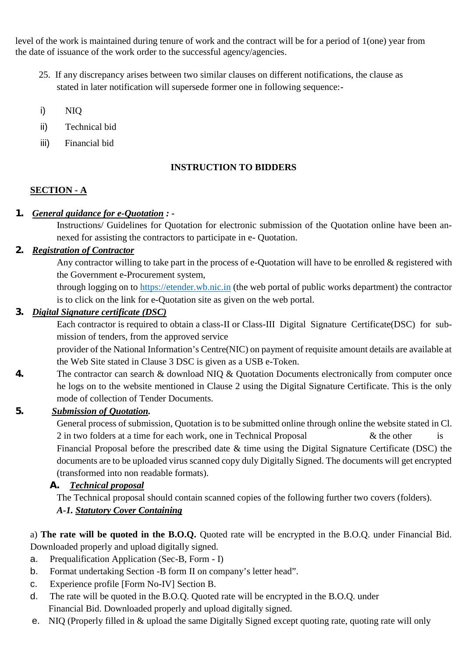level of the work is maintained during tenure of work and the contract will be for a period of 1(one) year from the date of issuance of the work order to the successful agency/agencies.

- 25. If any discrepancy arises between two similar clauses on different notifications, the clause as stated in later notification will supersede former one in following sequence:-
- i) NIQ
- ii) Technical bid
- iii) Financial bid

# **INSTRUCTION TO BIDDERS**

# **SECTION - A**

# *1. General guidance for e-Quotation : -*

Instructions/ Guidelines for Quotation for electronic submission of the Quotation online have been annexed for assisting the contractors to participate in e- Quotation.

# *2. Registration of Contractor*

Any contractor willing to take part in the process of e-Quotation will have to be enrolled & registered with the Government e-Procurement system,

through logging on to https://etender.wb.nic.in (the web portal of public works department) the contractor is to click on the link for e-Quotation site as given on the web portal.

# *3. Digital Signature certificate (DSC)*

Each contractor is required to obtain a class-II or Class-III Digital Signature Certificate(DSC) for submission of tenders, from the approved service

provider of the National Information's Centre(NIC) on payment of requisite amount details are available at the Web Site stated in Clause 3 DSC is given as a USB e-Token.

*4.* The contractor can search & download NIQ & Quotation Documents electronically from computer once he logs on to the website mentioned in Clause 2 using the Digital Signature Certificate. This is the only mode of collection of Tender Documents.

# *5. Submission of Quotation.*

General process of submission, Quotation is to be submitted online through online the website stated in Cl. 2 in two folders at a time for each work, one in Technical Proposal  $\&$  the other is Financial Proposal before the prescribed date & time using the Digital Signature Certificate (DSC) the documents are to be uploaded virus scanned copy duly Digitally Signed. The documents will get encrypted (transformed into non readable formats).

# *A. Technical proposal*

The Technical proposal should contain scanned copies of the following further two covers (folders). *A-1. Statutory Cover Containing*

a) **The rate will be quoted in the B.O.Q.** Quoted rate will be encrypted in the B.O.Q. under Financial Bid. Downloaded properly and upload digitally signed.

- a. Prequalification Application (Sec-B, Form I)
- b. Format undertaking Section -B form II on company's letter head".
- c. Experience profile [Form No-IV] Section B.
- d. The rate will be quoted in the B.O.Q. Quoted rate will be encrypted in the B.O.Q. under Financial Bid. Downloaded properly and upload digitally signed.
- e. NIQ (Properly filled in & upload the same Digitally Signed except quoting rate, quoting rate will only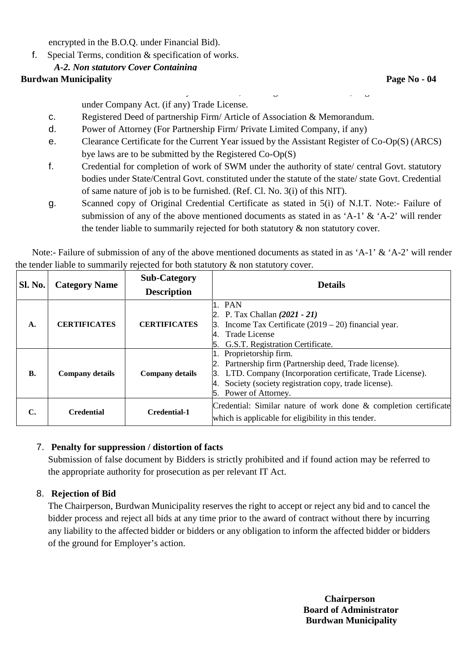encrypted in the B.O.Q. under Financial Bid).

f. Special Terms, condition & specification of works.

# *A-2. Non statutory Cover Containing*

# **a. Page No <b>- Page No - Page No - Page No - Page No - Page No - Page No - Page No - Page No - Page No - Page No - Page No - Page No - Page No - Page 10**

b. IT Saral for the Assessment year 2019- 20, GST Registration Certificate, Registration Certificate under Company Act. (if any) Trade License.

- c. Registered Deed of partnership Firm/ Article of Association & Memorandum.
- d. Power of Attorney (For Partnership Firm/ Private Limited Company, if any)
- e. Clearance Certificate for the Current Year issued by the Assistant Register of Co-Op(S) (ARCS) bye laws are to be submitted by the Registered Co-Op(S)
- f. Credential for completion of work of SWM under the authority of state/ central Govt. statutory bodies under State/Central Govt. constituted under the statute of the state/ state Govt. Credential of same nature of job is to be furnished. (Ref. Cl. No. 3(i) of this NIT).
- g. Scanned copy of Original Credential Certificate as stated in 5(i) of N.I.T. Note:- Failure of submission of any of the above mentioned documents as stated in as 'A-1' & 'A-2' will render the tender liable to summarily rejected for both statutory & non statutory cover.

Note:- Failure of submission of any of the above mentioned documents as stated in as 'A-1' & 'A-2' will render the tender liable to summarily rejected for both statutory & non statutory cover.

| Sl. No.   |                        | <b>Sub-Category</b>                                                                                                                                                                                                                                              | <b>Details</b>                                                                                                                                                     |  |  |  |
|-----------|------------------------|------------------------------------------------------------------------------------------------------------------------------------------------------------------------------------------------------------------------------------------------------------------|--------------------------------------------------------------------------------------------------------------------------------------------------------------------|--|--|--|
|           | <b>Category Name</b>   | <b>Description</b>                                                                                                                                                                                                                                               |                                                                                                                                                                    |  |  |  |
| A.        | <b>CERTIFICATES</b>    | <b>CERTIFICATES</b>                                                                                                                                                                                                                                              | 1. PAN<br>2. P. Tax Challan $(2021 - 21)$<br>3. Income Tax Certificate $(2019 – 20)$ financial year.<br>4. Trade License<br>G.S.T. Registration Certificate.<br>5. |  |  |  |
| <b>B.</b> | <b>Company details</b> | 1. Proprietorship firm.<br>2. Partnership firm (Partnership deed, Trade license).<br>3. LTD. Company (Incorporation certificate, Trade License).<br><b>Company details</b><br>4. Society (society registration copy, trade license).<br>Power of Attorney.<br>5. |                                                                                                                                                                    |  |  |  |
| C.        | <b>Credential</b>      | Credential-1                                                                                                                                                                                                                                                     | Credential: Similar nature of work done & completion certificate<br>which is applicable for eligibility in this tender.                                            |  |  |  |

#### 7. **Penalty for suppression / distortion of facts**

Submission of false document by Bidders is strictly prohibited and if found action may be referred to the appropriate authority for prosecution as per relevant IT Act.

# 8. **Rejection of Bid**

The Chairperson, Burdwan Municipality reserves the right to accept or reject any bid and to cancel the bidder process and reject all bids at any time prior to the award of contract without there by incurring any liability to the affected bidder or bidders or any obligation to inform the affected bidder or bidders of the ground for Employer's action.

> **Chairperson Board of Administrator Burdwan Municipality**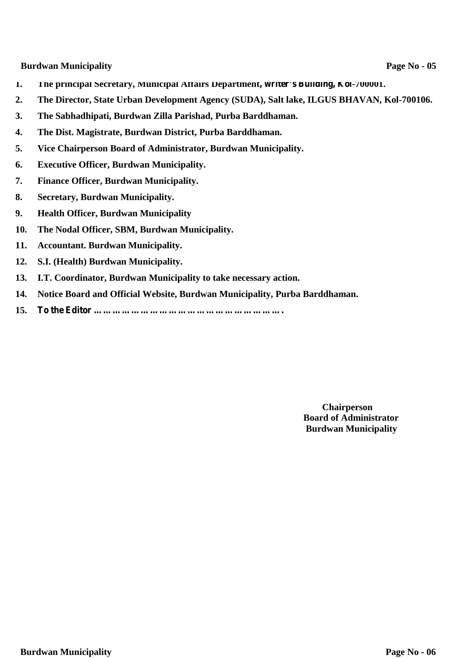**Burdwan Municipality Page No -** 05

- **1. The principal Secretary, Municipal Affairs Department, writer's Building, Kol-700001.**
- **2. The Director, State Urban Development Agency (SUDA), Salt lake, ILGUS BHAVAN, Kol-700106.**
- **3. The Sabhadhipati, Burdwan Zilla Parishad, Purba Barddhaman.**
- **4. The Dist. Magistrate, Burdwan District, Purba Barddhaman.**
- **5. Vice Chairperson Board of Administrator, Burdwan Municipality.**
- **6. Executive Officer, Burdwan Municipality.**
- **7. Finance Officer, Burdwan Municipality.**
- **8. Secretary, Burdwan Municipality.**
- **9. Health Officer, Burdwan Municipality**
- **10. The Nodal Officer, SBM, Burdwan Municipality.**
- **11. Accountant. Burdwan Municipality.**
- **12. S.I. (Health) Burdwan Municipality.**
- **13. I.T. Coordinator, Burdwan Municipality to take necessary action.**
- **14. Notice Board and Official Website, Burdwan Municipality, Purba Barddhaman.**
- **15. To the Editor …………………………………………………….**

**Chairperson Board of Administrator Burdwan Municipality**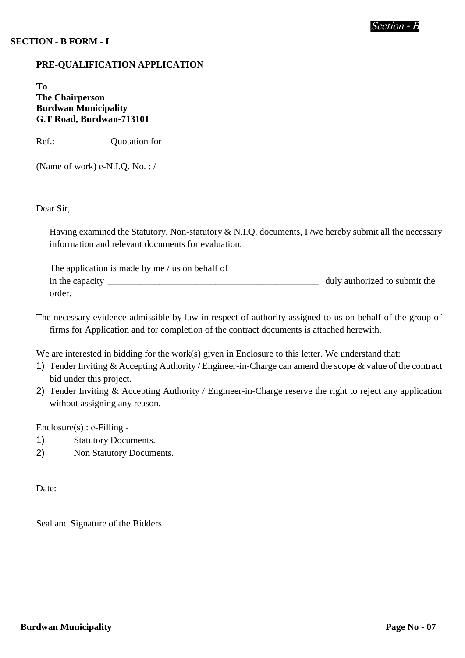## **SECTION - B FORM - I**

#### **PRE-QUALIFICATION APPLICATION**

**To The Chairperson Burdwan Municipality G.T Road, Burdwan-713101**

Ref.: **Quotation for** 

(Name of work) e-N.I.Q. No. : /

#### Dear Sir,

Having examined the Statutory, Non-statutory & N.I.Q. documents, I /we hereby submit all the necessary information and relevant documents for evaluation.

| The application is made by me / us on behalf of |                               |
|-------------------------------------------------|-------------------------------|
| in the capacity                                 | duly authorized to submit the |
| order.                                          |                               |

The necessary evidence admissible by law in respect of authority assigned to us on behalf of the group of firms for Application and for completion of the contract documents is attached herewith.

We are interested in bidding for the work(s) given in Enclosure to this letter. We understand that:

- 1) Tender Inviting & Accepting Authority / Engineer-in-Charge can amend the scope & value of the contract bid under this project.
- 2) Tender Inviting & Accepting Authority / Engineer-in-Charge reserve the right to reject any application without assigning any reason.

Enclosure(s) : e-Filling -

- 1) Statutory Documents.
- 2) Non Statutory Documents.

Date:

Seal and Signature of the Bidders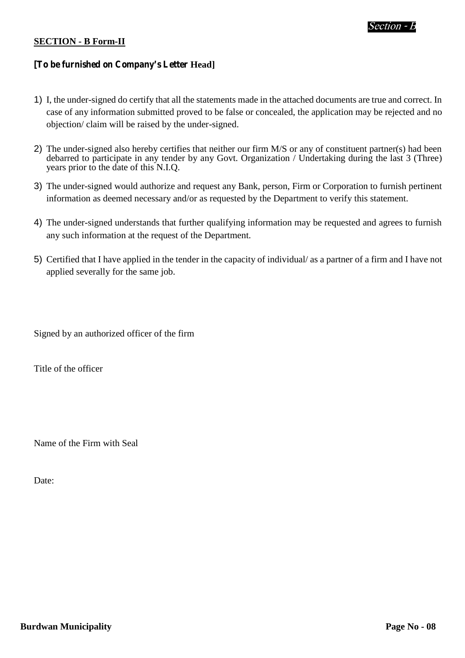#### **SECTION - B Form-II**

## **[To be furnished on Company's Letter Head]**

- 1) I, the under-signed do certify that all the statements made in the attached documents are true and correct. In case of any information submitted proved to be false or concealed, the application may be rejected and no objection/ claim will be raised by the under-signed.
- 2) The under-signed also hereby certifies that neither our firm M/S or any of constituent partner(s) had been debarred to participate in any tender by any Govt. Organization / Undertaking during the last 3 (Three) years prior to the date of this N.I.Q.
- 3) The under-signed would authorize and request any Bank, person, Firm or Corporation to furnish pertinent information as deemed necessary and/or as requested by the Department to verify this statement.
- 4) The under-signed understands that further qualifying information may be requested and agrees to furnish any such information at the request of the Department.
- 5) Certified that I have applied in the tender in the capacity of individual/ as a partner of a firm and I have not applied severally for the same job.

Signed by an authorized officer of the firm

Title of the officer

Name of the Firm with Seal

Date: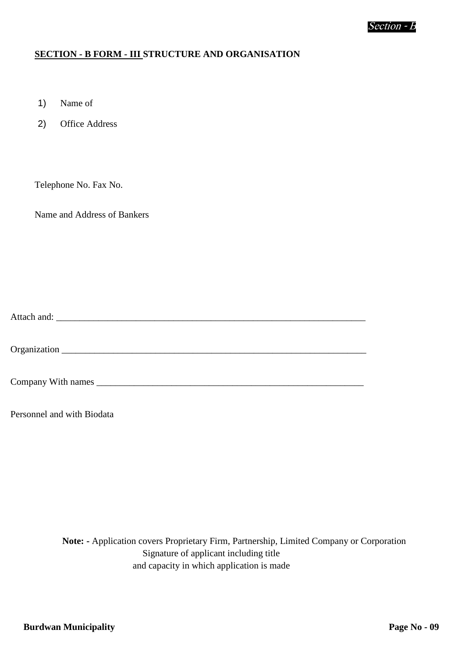#### **SECTION - B FORM - III STRUCTURE AND ORGANISATION**

- 1) Name of
- 2) Office Address

Telephone No. Fax No.

Name and Address of Bankers

Attach and: \_\_\_\_\_\_\_\_\_\_\_\_\_\_\_\_\_\_\_\_\_\_\_\_\_\_\_\_\_\_\_\_\_\_\_\_\_\_\_\_\_\_\_\_\_\_\_\_\_\_\_\_\_\_\_\_\_\_\_\_\_\_\_\_\_\_

Organization \_\_\_\_\_\_\_\_\_\_\_\_\_\_\_\_\_\_\_\_\_\_\_\_\_\_\_\_\_\_\_\_\_\_\_\_\_\_\_\_\_\_\_\_\_\_\_\_\_\_\_\_\_\_\_\_\_\_\_\_\_\_\_\_\_

Company With names

Personnel and with Biodata

**Note: -** Application covers Proprietary Firm, Partnership, Limited Company or Corporation Signature of applicant including title and capacity in which application is made